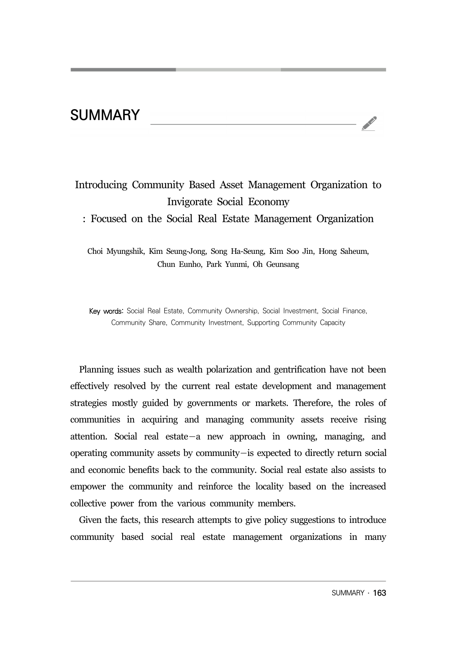## **SUMMARY**

## Introducing Community Based Asset Management Organization to Invigorate Social Economy : Focused on the Social Real Estate Management Organization

Choi Myungshik, Kim Seung-Jong, Song Ha-Seung, Kim Soo Jin, Hong Saheum, Chun Eunho, Park Yunmi, Oh Geunsang

Key words: Social Real Estate, Community Ownership, Social Investment, Social Finance, Community Share, Community Investment, Supporting Community Capacity

Planning issues such as wealth polarization and gentrification have not been effectively resolved by the current real estate development and management strategies mostly guided by governments or markets. Therefore, the roles of communities in acquiring and managing community assets receive rising attention. Social real estate―a new approach in owning, managing, and operating community assets by community―is expected to directly return social and economic benefits back to the community. Social real estate also assists to empower the community and reinforce the locality based on the increased collective power from the various community members.

Given the facts, this research attempts to give policy suggestions to introduce community based social real estate management organizations in many